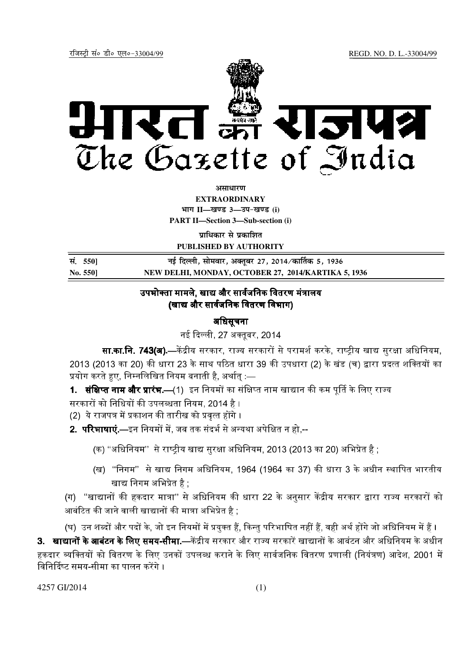रजिस्ट्री सं० डी० एल०-33004/99 रजिस्ट्री सं० डी० एल०-33004/99 रजिस्ट्री सं० डी० एल०-33004/99 रजिस्ट्री सं० डी



असाधा**र**ण

**EXTRAORDINARY**  $4$ **HI<sup>T</sup> II—<br>***E***US** 3—34-खण्ड (i)

**PART II—Section 3—Sub-section (i)**

**<u>uाधिकार से प्रकाशित</u> PUBLISHED BY AUTHORITY**

**la- 550] ubZ fnYyh] lkseokj] vDrwcj 27] 2014@dk£rd 5] 1936 No. 550] NEW DELHI, MONDAY, OCTOBER 27, 2014/KARTIKA 5, 1936**

# उपभोक्ता मामले. खाद्य और सार्वजनिक वितरण मंत्रालय (खाद्य और सार्वजनिक वितरण विभाग)

## अधिसूचना

नई दिल्ली. 27 अक्तबर, 2014

**सा.का.नि. 743(अ).—**केंद्रीय सरकार, राज्य सरकारों से परामर्श करके, राष्ट्रीय खाद्य सुरक्षा अधिनियम, 2013 (2013 का 20) की धारा 23 के साथ पठित धारा 39 की उपधारा (2) के खंड (च) द्वारा प्रदत्त शक्तियों का प्रयोग करते हए. निम्नलिखित नियम बनाती है, अर्थातु :—

1. सं**क्षिप्त नाम और प्रारंभ.—**(1) इन नियमों का संक्षिप्त नाम खाद्यान की कम पूर्ति के लिए राज्य सरकारों को निधियों की उपलब्धता नियम, 2014 है ।

(2) ये राजपत्र में प्रकाशन की तारीख को प्रवृत्त होंगे ।

**2. परिभाषाएं.—**इन नियमों में, जब तक संदर्भ से अन्यथा अपेक्षित न हो,--

- (क) ''अधिनियम'' से राष्ट्रीय खाद्य सुरक्षा अधिनियम, 2013 (2013 का 20) अभिप्रेत है ;
- (ख) "निगम" से खाद्य निगम अधिनियम, 1964 (1964 का 37) की धारा 3 के अधीन स्थापित भारतीय खाद्य निगम अभिप्रेत है :

(ग) ''खाद्यानों की हकदार मात्रा'' से अधिनियम की धारा 22 के अनुसार केंद्रीय सरकार द्वारा राज्य सरकारों को आबंटित की जाने वाली खाद्यानों की मात्रा अभिप्रेत है :

(घ) उन शब्दों और पदों के. जो इन नियमों में प्रयक्त हैं. किन्त परिभाषित नहीं हैं. वही अर्थ होंगे जो अधिनियम में हैं ।

**3. खाद्यानों के आबंटन के लिए समय-सीमा.—**केंद्रीय सरकार और राज्य सरकारें खाद्यानों के आबंटन और अधिनियम के अधीन हकदार व्यक्तियों को वितरण के लिए उनकों उपलब्ध कराने के लिए सार्वजनिक वितरण प्रणाली (नियंत्रण) आदेश, 2001 में <mark>'</mark> विनिर्दिष्ट समय-सीमा का पालन करेंगे ।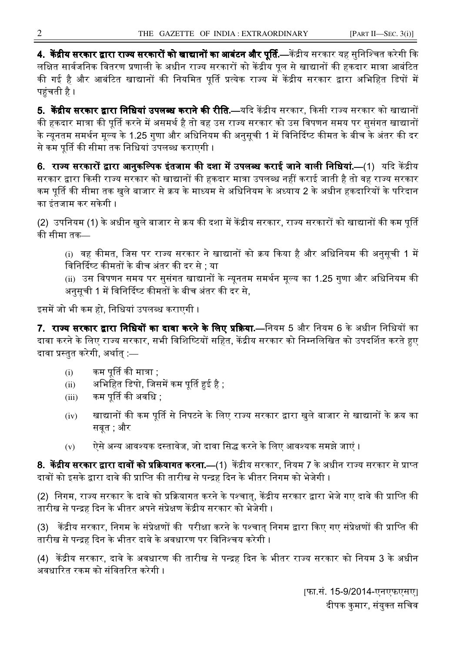**4. केंद्रीय सरकार द्वारा राज्य सरकारों को खाद्यानों का आबंटन और पूर्ति.—केंद्रीय सरकार यह सुनिश्चित करेगी कि** लक्षित सार्वजनिक वितरण प्रणाली के अधीन राज्य सरकारों को केंद्रीय पूल से खाद्यानों की हकदार मात्रा आबंटित की गई है और आबंटित खाद्यानों की नियमित पूर्ति प्रत्येक राज्य में केंद्रीय सरकार द्वारा अभिहित डिपों में पहुंचती है ।

**5. केंद्रीय सरकार द्वारा निधियां उपलब्ध कराने की रीति.—यदि केंद्रीय सरकार, किसी राज्य सरकार को खाद्यानों** की हकदार मात्रा की पूर्ति करने में असमर्थ है तो वह उस राज्य सरकार को उस विपणन समय पर सुसंगत खाद्यानों | के न्यूनतम समर्थन मूल्य के 1.25 गुणा और अधिनियम की अनुसूची 1 में विनिदिष्ट कीमत के बीच के अंतर की दर से कम पूर्ति की सीमा तक निधियां उपलब्ध कराएगी ।

**6. राज्य सरकारों द्वारा आनुकल्पिक इंतजाम की दशा में उपलब्ध कराई जाने वाली निधियां.—(1) यदि केंद्रीय** सरकार द्वारा किसी राज्य सरकार को खाद्यानों की हकदार मात्रा उपलब्ध नहीं कराई जाती है तो वह राज्य सरकार कम पूर्ति की सीमा तक खुले बाजार से क्रय के माध्यम से अधिनियम के अध्याय 2 के अधीन हकदारियों के परिदान का इंतजाम कर सकेगी ।

(2) उपनियम (1) के अधीन खुले बाजार से क्रय की दशा में केंद्रीय सरकार, राज्य सरकारों को खाद्यानों की कम पूर्ति की सीमा तक–

(i) वह कीमत, जिस पर राज्य सरकार ने खाद्यानों को क्रय किया है और अधिनियम की अनुसूची 1 में विनिर्दिष्ट कीमतों के बीच अंतर की दर से ; या

(ii) उस विपणन समय पर सुसंगत खाद्यानों के न्यूनतम समर्थन मूल्य का 1.25 गुणा और अधिनियम की अनुसूची 1 में विनिदिष्ट कीमतों के बीच अंतर की दर से,

इसमें जो भी कम हो, निधियां उपलब्ध कराएगी ।

**7. राज्य सरकार द्वारा निधियों का दावा करने के लिए प्रक्रिया.—नियम 5 और नियम 6 के अधीन निधियों का** दावा करने के लिए राज्य सरकार, सभी विशिष्टियों सहित, केंद्रीय सरकार को निम्नलिखित को उपदर्शित करते हुए दावा प्रस्तुत करेगी, अर्थात :—

- $(i)$  कम पूर्ति की मात्रा ;
- (ii) अभिहित डिपो, जिसमें कम पूर्ति हुई है ;
- (iii) कम पूर्ति की अवधि ;
- (iv) खाद्यानों की कम पूर्ति से निपटने के लिए राज्य सरकार द्वारा खुले बाजार से खाद्यानों के क्रय का सबत : और
- $(v)$  एेसे अन्य आवश्यक दस्तावेज, जो दावा सिद्ध करने के लिए आवश्यक समझे जाएं ।

**8. केंद्रीय सरकार द्वारा दावों को प्रक्रियागत करना.—(1) केंद्रीय सरकार, नियम 7 के अधीन राज्य सरकार से प्राप्त** दावों को इसके द्वारा दावे की प्राप्ति की तारीख से पन्द्रह दिन के भीतर निगम को भेजेगी ।

(2) निगम, राज्य सरकार के दावे को प्रक्रियागत करने के पश्चात्, केंद्रीय सरकार द्वारा भेजे गए दावे की प्राप्ति की तारीख से पन्द्रह दिन के भीतर अपने संप्रेक्षण केंद्रीय सरकार को भेजेगी ।

(3) केंद्रीय सरकार, निगम के संप्रेक्षणों की परीक्षा करने के पश्चात् निगम द्वारा किए गए संप्रेक्षणों की प्राप्ति की तारीख से पन्द्रह दिन के भीतर दावे के अवधारण पर विनिश्चय करेगी ।

(4) केंद्रीय सरकार, दावे के अवधारण की तारीख से पन्द्रह दिन के भीतर राज्य सरकार को नियम 3 के अधीन अवधारित रकम को संवितरित करेगी ।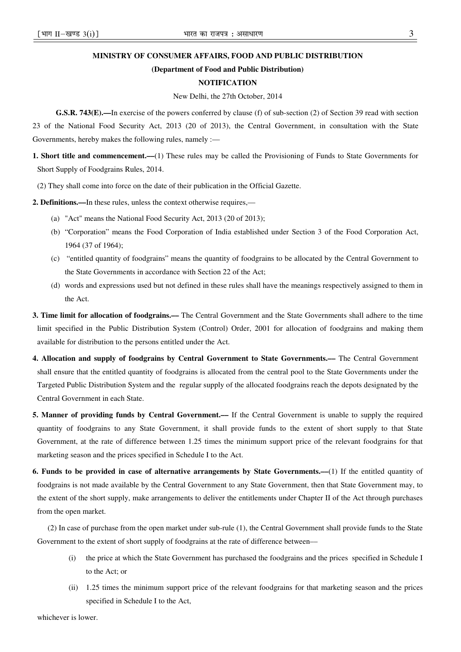### **MINISTRY OF CONSUMER AFFAIRS, FOOD AND PUBLIC DISTRIBUTION**

#### **(Department of Food and Public Distribution)**

## **NOTIFICATION**

#### New Delhi, the 27th October, 2014

**G.S.R. 743(E).—**In exercise of the powers conferred by clause (f) of sub-section (2) of Section 39 read with section 23 of the National Food Security Act, 2013 (20 of 2013), the Central Government, in consultation with the State Governments, hereby makes the following rules, namely :—

**1. Short title and commencement.––**(1) These rules may be called the Provisioning of Funds to State Governments for Short Supply of Foodgrains Rules, 2014.

(2) They shall come into force on the date of their publication in the Official Gazette.

**2. Definitions.––**In these rules, unless the context otherwise requires,––

- (a) "Act" means the National Food Security Act, 2013 (20 of 2013);
- (b) "Corporation" means the Food Corporation of India established under Section 3 of the Food Corporation Act, 1964 (37 of 1964);
- (c) "entitled quantity of foodgrains" means the quantity of foodgrains to be allocated by the Central Government to the State Governments in accordance with Section 22 of the Act;
- (d) words and expressions used but not defined in these rules shall have the meanings respectively assigned to them in the Act.
- **3. Time limit for allocation of foodgrains.––** The Central Government and the State Governments shall adhere to the time limit specified in the Public Distribution System (Control) Order, 2001 for allocation of foodgrains and making them available for distribution to the persons entitled under the Act.
- **4. Allocation and supply of foodgrains by Central Government to State Governments.––** The Central Government shall ensure that the entitled quantity of foodgrains is allocated from the central pool to the State Governments under the Targeted Public Distribution System and the regular supply of the allocated foodgrains reach the depots designated by the Central Government in each State.
- **5. Manner of providing funds by Central Government.––** If the Central Government is unable to supply the required quantity of foodgrains to any State Government, it shall provide funds to the extent of short supply to that State Government, at the rate of difference between 1.25 times the minimum support price of the relevant foodgrains for that marketing season and the prices specified in Schedule I to the Act.
- **6. Funds to be provided in case of alternative arrangements by State Governments.––**(1) If the entitled quantity of foodgrains is not made available by the Central Government to any State Government, then that State Government may, to the extent of the short supply, make arrangements to deliver the entitlements under Chapter II of the Act through purchases from the open market.

(2) In case of purchase from the open market under sub-rule (1), the Central Government shall provide funds to the State Government to the extent of short supply of foodgrains at the rate of difference between––

- (i) the price at which the State Government has purchased the foodgrains and the prices specified in Schedule I to the Act; or
- (ii) 1.25 times the minimum support price of the relevant foodgrains for that marketing season and the prices specified in Schedule I to the Act,

whichever is lower.